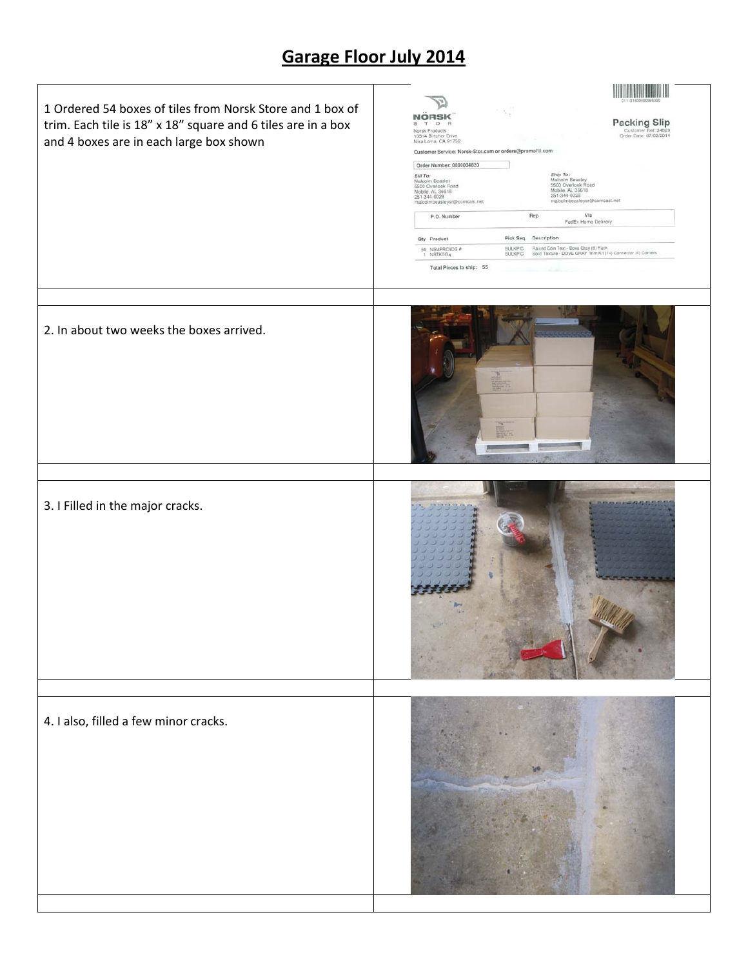## **Garage Floor July 2014**

| 1 Ordered 54 boxes of tiles from Norsk Store and 1 box of<br>trim. Each tile is 18" x 18" square and 6 tiles are in a box<br>and 4 boxes are in each large box shown | Packing Slip<br>Customer Ref: 34820<br>Order Date: 07/02/2014<br>$\circ$<br>Norsk Products<br>10314 Birtcher Drive<br>Mira Loma, CA 91752<br>Customer Service: Norsk-Stor.com or orders@promofill.com<br>Order Number: 0000034820<br>Bill To:<br>Malcolm Beasley<br>5500 Overlook Road<br>Mobile, AL 36618<br>Ship To:<br>Malcolm Beasley<br>5500 Overlook Road<br>Mobile, AL 36618<br>251-344-0028<br>251-344-0028<br>malcolmbeasleysr@comcast.net<br>malcolmbeasleysr@comcast.net<br>Via<br>Rep<br>P.O. Number<br>FedEx Home Delivery<br>Pick Seq. Description<br>Qty Product<br>Raised Coin Text - Dove Gray (6) Pack<br>54 NSMPRC6DG #<br><b>BULKPIC</b><br>Solid Texture - DOVE GRAY Trim Kit (14) Connector (4) Corners<br><b>NSTKDG4</b><br><b>BULKPIC</b><br>Total Pieces to ship: 55 |
|----------------------------------------------------------------------------------------------------------------------------------------------------------------------|-----------------------------------------------------------------------------------------------------------------------------------------------------------------------------------------------------------------------------------------------------------------------------------------------------------------------------------------------------------------------------------------------------------------------------------------------------------------------------------------------------------------------------------------------------------------------------------------------------------------------------------------------------------------------------------------------------------------------------------------------------------------------------------------------|
| 2. In about two weeks the boxes arrived.                                                                                                                             |                                                                                                                                                                                                                                                                                                                                                                                                                                                                                                                                                                                                                                                                                                                                                                                               |
| 3. I Filled in the major cracks.                                                                                                                                     |                                                                                                                                                                                                                                                                                                                                                                                                                                                                                                                                                                                                                                                                                                                                                                                               |
| 4. I also, filled a few minor cracks.                                                                                                                                |                                                                                                                                                                                                                                                                                                                                                                                                                                                                                                                                                                                                                                                                                                                                                                                               |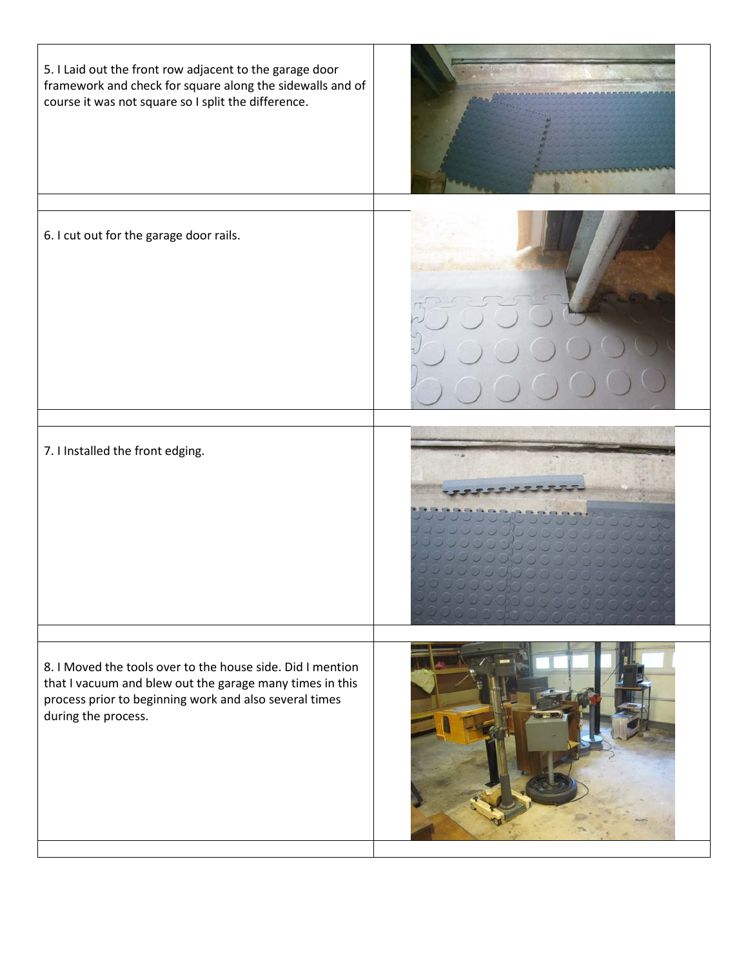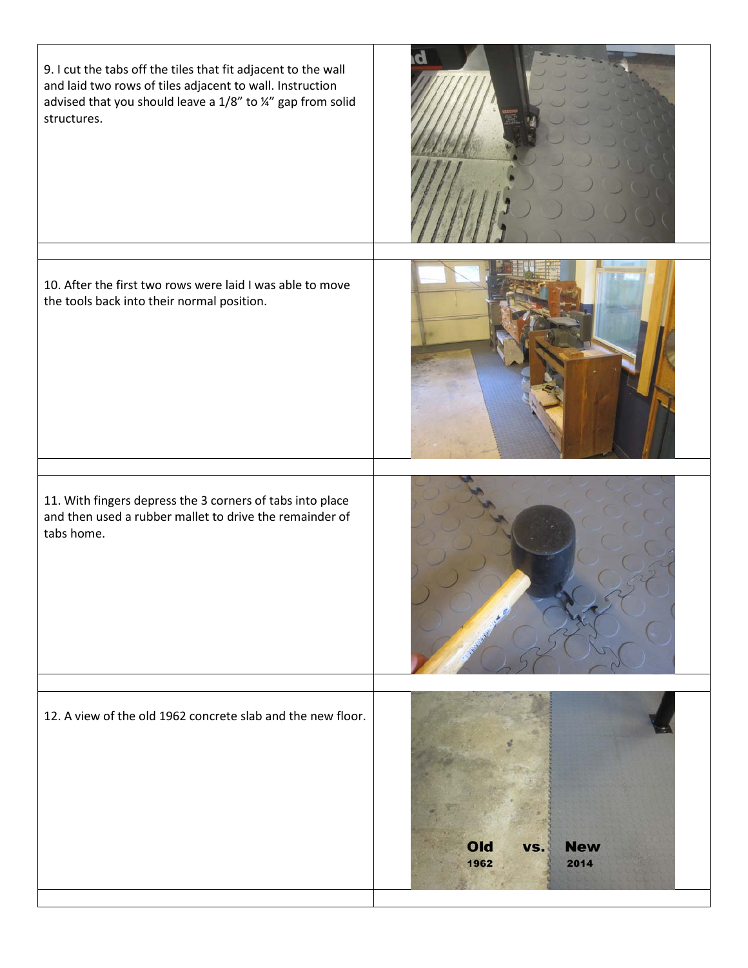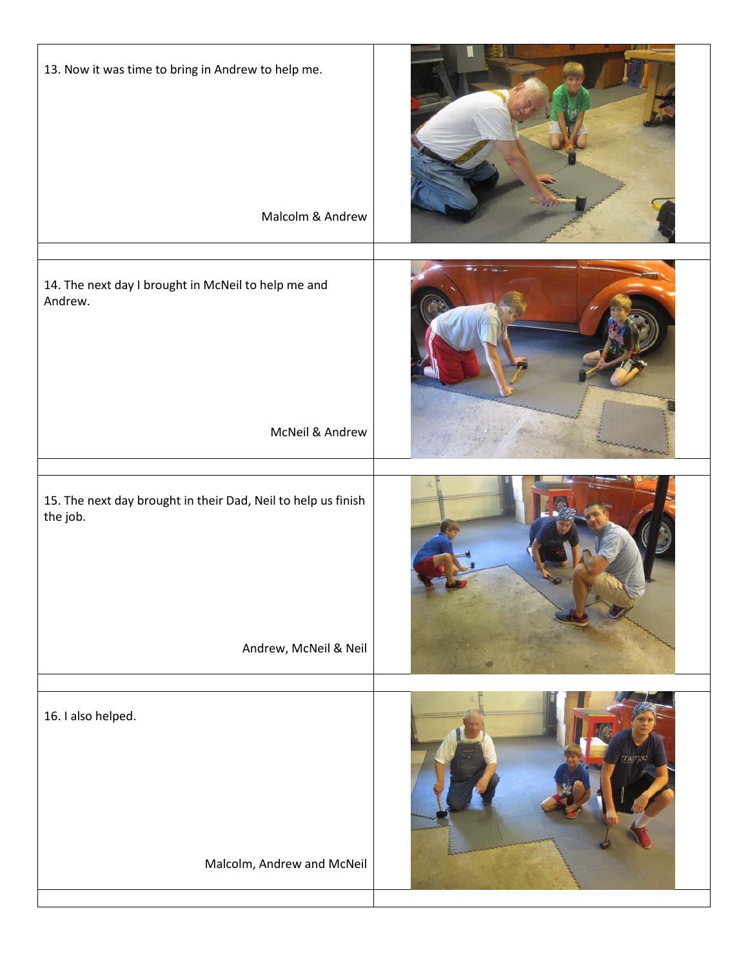| 13. Now it was time to bring in Andrew to help me.<br>Malcolm & Andrew                             |       |
|----------------------------------------------------------------------------------------------------|-------|
| 14. The next day I brought in McNeil to help me and<br>Andrew.<br>McNeil & Andrew                  |       |
| 15. The next day brought in their Dad, Neil to help us finish<br>the job.<br>Andrew, McNeil & Neil |       |
| 16. I also helped.<br>Malcolm, Andrew and McNeil                                                   | merce |